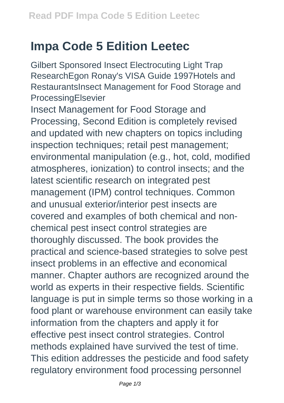## **Impa Code 5 Edition Leetec**

Gilbert Sponsored Insect Electrocuting Light Trap ResearchEgon Ronay's VISA Guide 1997Hotels and RestaurantsInsect Management for Food Storage and ProcessingElsevier

Insect Management for Food Storage and Processing, Second Edition is completely revised and updated with new chapters on topics including inspection techniques; retail pest management; environmental manipulation (e.g., hot, cold, modified atmospheres, ionization) to control insects; and the latest scientific research on integrated pest management (IPM) control techniques. Common and unusual exterior/interior pest insects are covered and examples of both chemical and nonchemical pest insect control strategies are thoroughly discussed. The book provides the practical and science-based strategies to solve pest insect problems in an effective and economical manner. Chapter authors are recognized around the world as experts in their respective fields. Scientific language is put in simple terms so those working in a food plant or warehouse environment can easily take information from the chapters and apply it for effective pest insect control strategies. Control methods explained have survived the test of time. This edition addresses the pesticide and food safety regulatory environment food processing personnel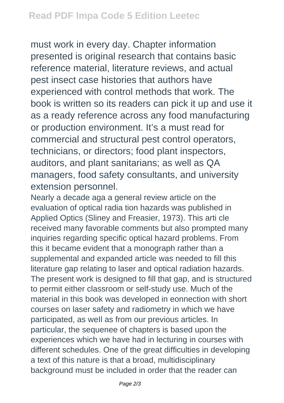must work in every day. Chapter information presented is original research that contains basic reference material, literature reviews, and actual pest insect case histories that authors have experienced with control methods that work. The book is written so its readers can pick it up and use it as a ready reference across any food manufacturing or production environment. It's a must read for commercial and structural pest control operators, technicians, or directors; food plant inspectors, auditors, and plant sanitarians; as well as QA managers, food safety consultants, and university extension personnel.

Nearly a decade aga a general review article on the evaluation of optical radia tion hazards was published in Applied Optics (Sliney and Freasier, 1973). This arti cle received many favorable comments but also prompted many inquiries regarding specific optical hazard problems. From this it became evident that a monograph rather than a supplemental and expanded article was needed to fill this literature gap relating to laser and optical radiation hazards. The present work is designed to fill that gap, and is structured to permit either classroom or self-study use. Much of the material in this book was developed in eonnection with short courses on laser safety and radiometry in which we have participated, as weIl as from our previous articles. In particular, the sequenee of chapters is based upon the experiences which we have had in lecturing in courses with different schedules. One of the great difficulties in developing a text of this nature is that a broad, multidisciplinary background must be included in order that the reader can